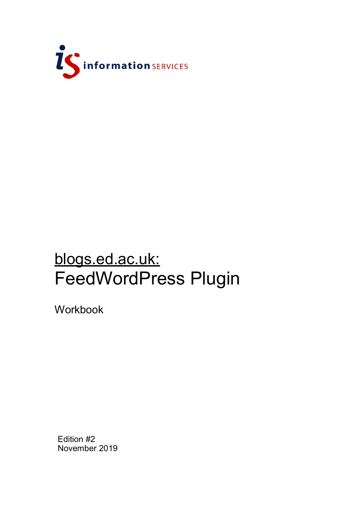

# blogs.ed.ac.uk: FeedWordPress Plugin

Workbook

Edition #2 November 2019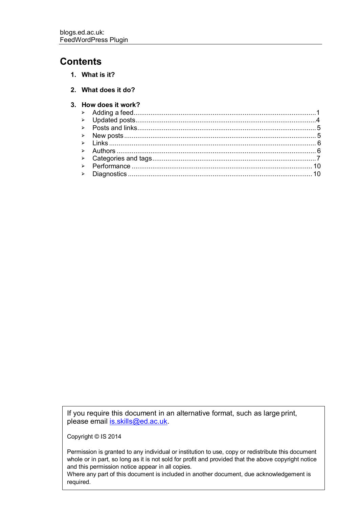### **Contents**

**1. What is it?**

#### **3. How does it work?**

If you require this document in an alternative format, such as large print, please email [is.skills@ed.ac.uk.](mailto:is.skills@ed.ac.uk)

Copyright © IS 2014

Permission is granted to any individual or institution to use, copy or redistribute this document whole or in part, so long as it is not sold for profit and provided that the above copyright notice and this permission notice appear in all copies.

Where any part of this document is included in another document, due acknowledgement is required.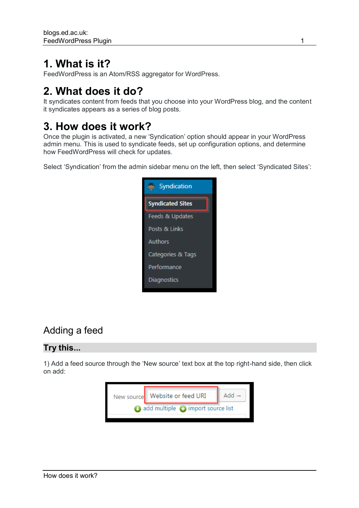### **1. What is it?**

FeedWordPress is an Atom/RSS aggregator for WordPress.

# **2. What does it do?**

It syndicates content from feeds that you choose into your WordPress blog, and the content it syndicates appears as a series of blog posts.

# **3. How does it work?**

Once the plugin is activated, a new 'Syndication' option should appear in your WordPress admin menu. This is used to syndicate feeds, set up configuration options, and determine how FeedWordPress will check for updates.

Select 'Syndication' from the admin sidebar menu on the left, then select 'Syndicated Sites':



### <span id="page-4-0"></span>Adding a feed

#### **Try this...**

1) Add a feed source through the 'New source' text box at the top right-hand side, then click on add:

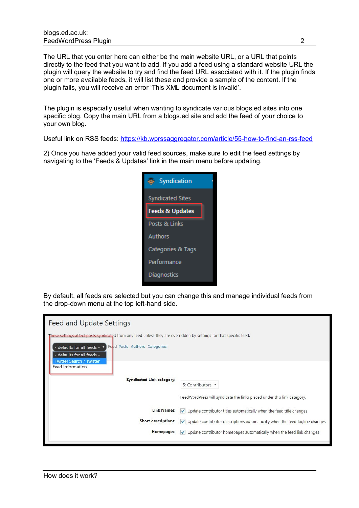The URL that you enter here can either be the main website URL, or a URL that points directly to the feed that you want to add. If you add a feed using a standard website URL the plugin will query the website to try and find the feed URL associated with it. If the plugin finds one or more available feeds, it will list these and provide a sample of the content. If the plugin fails, you will receive an error 'This XML document is invalid'.

The plugin is especially useful when wanting to syndicate various blogs.ed sites into one specific blog. Copy the main URL from a blogs.ed site and add the feed of your choice to your own blog.

Useful link on RSS feeds:<https://kb.wprssaggregator.com/article/55-how-to-find-an-rss-feed>

2) Once you have added your valid feed sources, make sure to edit the feed settings by navigating to the 'Feeds & Updates' link in the main menu before updating.



By default, all feeds are selected but you can change this and manage individual feeds from the drop-down menu at the top left-hand side.

| These settings affect posts syndicated from any feed unless they are overridden by settings for that specific feed. |  |  |
|---------------------------------------------------------------------------------------------------------------------|--|--|
|                                                                                                                     |  |  |
| <b>Syndicated Link category:</b>                                                                                    |  |  |
| 5: Contributors                                                                                                     |  |  |
| FeedWordPress will syndicate the links placed under this link category.                                             |  |  |
| <b>Link Names:</b><br>Update contributor titles automatically when the feed title changes<br>✓                      |  |  |
| <b>Short descriptions:</b><br>Update contributor descriptions automatically when the feed tagline changes<br>✓      |  |  |
| Homepages:<br>$\checkmark$ Update contributor homepages automatically when the feed link changes                    |  |  |
|                                                                                                                     |  |  |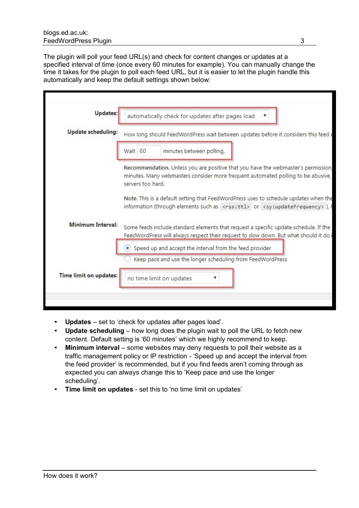The plugin will poll your feed URL(s) and check for content changes or updates at a specified interval of time (once every 60 minutes for example). You can manually change the time it takes for the plugin to poll each feed URL, but it is easier to let the plugin handle this automatically and keep the default settings shown below:

| <b>Updates:</b>           | automatically check for updates after pages load                                                                                                                                                   |  |  |  |
|---------------------------|----------------------------------------------------------------------------------------------------------------------------------------------------------------------------------------------------|--|--|--|
| <b>Update scheduling:</b> | How long should FeedWordPress wait between updates before it considers this feed I                                                                                                                 |  |  |  |
|                           | Wait 60<br>minutes between polling.                                                                                                                                                                |  |  |  |
|                           | Recommendation. Unless you are positive that you have the webmaster's permission,<br>minutes. Many webmasters consider more frequent automated polling to be abusive,<br>servers too hard.         |  |  |  |
|                           | Note. This is a default setting that FeedWordPress uses to schedule updates when the<br>information (through elements such as <rss:ttl> or <sy:updatefrequency>), I</sy:updatefrequency></rss:ttl> |  |  |  |
| <b>Minimum Interval:</b>  | Some feeds include standard elements that request a specific update schedule. If the<br>FeedWordPress will always respect their request to slow down. But what should it do                        |  |  |  |
|                           |                                                                                                                                                                                                    |  |  |  |
|                           | Speed up and accept the interval from the feed provider                                                                                                                                            |  |  |  |
|                           | Keep pace and use the longer scheduling from FeedWordPress                                                                                                                                         |  |  |  |

- **Updates**  set to 'check for updates after pages load'.
- **Update scheduling**  how long does the plugin wait to poll the URL to fetch new content. Default setting is '60 minutes' which we highly recommend to keep.
- Minimum interval some websites may deny requests to poll their website as a traffic management policy or IP restriction - 'Speed up and accept the interval from the feed provider' is recommended, but if you find feeds aren't coming through as expected you can always change this to 'Keep pace and use the longer scheduling'.
- **Time limit on updates**  set this to 'no time limit on updates'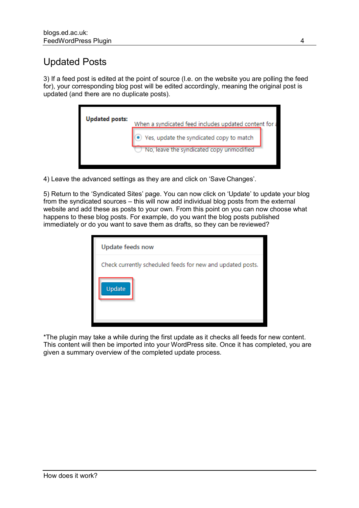### <span id="page-7-0"></span>Updated Posts

3) If a feed post is edited at the point of source (I.e. on the website you are polling the feed for), your corresponding blog post will be edited accordingly, meaning the original post is updated (and there are no duplicate posts).

| <b>Updated posts:</b> | When a syndicated feed includes updated content for a |
|-----------------------|-------------------------------------------------------|
|                       | Yes, update the syndicated copy to match              |
|                       | No, leave the syndicated copy unmodified              |

4) Leave the advanced settings as they are and click on 'Save Changes'.

5) Return to the 'Syndicated Sites' page. You can now click on 'Update' to update your blog from the syndicated sources – this will now add individual blog posts from the external website and add these as posts to your own. From this point on you can now choose what happens to these blog posts. For example, do you want the blog posts published immediately or do you want to save them as drafts, so they can be reviewed?

| Update feeds now                                           |
|------------------------------------------------------------|
| Check currently scheduled feeds for new and updated posts. |
| Update                                                     |

\*The plugin may take a while during the first update as it checks all feeds for new content. This content will then be imported into your WordPress site. Once it has completed, you are given a summary overview of the completed update process.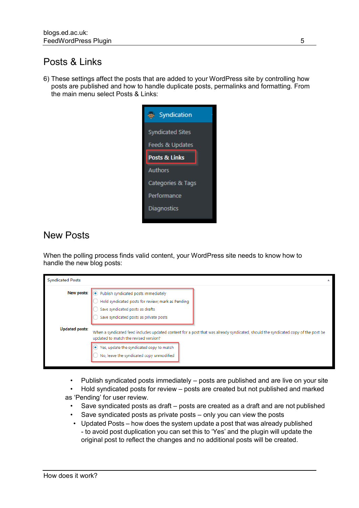### Posts & Links

6) These settings affect the posts that are added to your WordPress site by controlling how posts are published and how to handle duplicate posts, permalinks and formatting. From the main menu select Posts & Links:



### <span id="page-8-0"></span>New Posts

When the polling process finds valid content, your WordPress site needs to know how to handle the new blog posts:

| <b>Syndicated Posts</b> |                                                                                                                                                                            |  |
|-------------------------|----------------------------------------------------------------------------------------------------------------------------------------------------------------------------|--|
| New posts:              | . Publish syndicated posts immediately<br>Hold syndicated posts for review; mark as Pending<br>Save syndicated posts as drafts<br>Save syndicated posts as private posts   |  |
| <b>Updated posts:</b>   | When a syndicated feed includes updated content for a post that was already syndicated, should the syndicated copy of the post be<br>updated to match the revised version? |  |
|                         | ● Yes, update the syndicated copy to match<br>No, leave the syndicated copy unmodified                                                                                     |  |

- Publish syndicated posts immediately posts are published and are live on your site
- Hold syndicated posts for review posts are created but not published and marked as 'Pending' for user review.
	- Save syndicated posts as draft posts are created as a draft and are not published
	- Save syndicated posts as private posts only you can view the posts
	- Updated Posts how does the system update a post that was already published - to avoid post duplication you can set this to 'Yes' and the plugin will update the original post to reflect the changes and no additional posts will be created.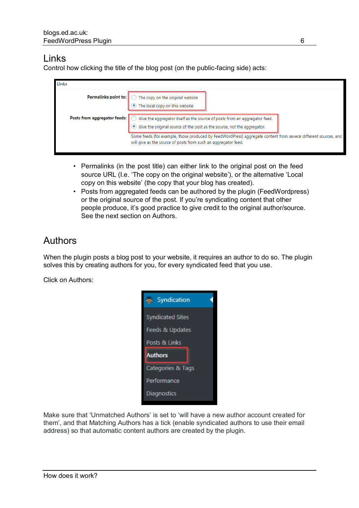#### <span id="page-9-0"></span>Links

Control how clicking the title of the blog post (on the public-facing side) acts:

| Links                        |                                                                                                                                                                                                                                                                            |
|------------------------------|----------------------------------------------------------------------------------------------------------------------------------------------------------------------------------------------------------------------------------------------------------------------------|
|                              | <b>Permalinks point to:</b> $\bigcirc$ The copy on the original website<br>$\bigcirc$ The local copy on this website                                                                                                                                                       |
| Posts from aggregator feeds: | Give the aggregator itself as the source of posts from an aggregator feed.<br>● Give the original source of the post as the source, not the aggregator.<br>Some feeds (for example, those produced by FeedWordPress) aggregate content from several different sources, and |
|                              | will give as the source of posts from such an aggregator feed.                                                                                                                                                                                                             |

- Permalinks (in the post title) can either link to the original post on the feed source URL (I.e. 'The copy on the original website'), or the alternative 'Local copy on this website' (the copy that your blog has created).
- Posts from aggregated feeds can be authored by the plugin (FeedWordpress) or the original source of the post. If you're syndicating content that other people produce, it's good practice to give credit to the original author/source. See the next section on Authors.

### <span id="page-9-1"></span>Authors

When the plugin posts a blog post to your website, it requires an author to do so. The plugin solves this by creating authors for you, for every syndicated feed that you use.

Click on Authors:



Make sure that 'Unmatched Authors' is set to 'will have a new author account created for them', and that Matching Authors has a tick (enable syndicated authors to use their email address) so that automatic content authors are created by the plugin.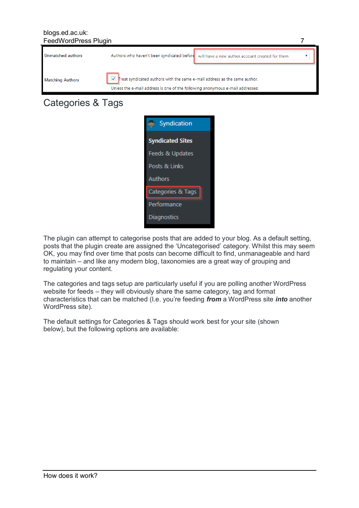#### blogs.ed.ac.uk: FeedWordPress Plugin 7



### Categories & Tags



The plugin can attempt to categorise posts that are added to your blog. As a default setting, posts that the plugin create are assigned the 'Uncategorised' category. Whilst this may seem OK, you may find over time that posts can become difficult to find, unmanageable and hard to maintain – and like any modern blog, taxonomies are a great way of grouping and regulating your content.

The categories and tags setup are particularly useful if you are polling another WordPress website for feeds – they will obviously share the same category, tag and format characteristics that can be matched (I.e. you're feeding *from* a WordPress site *into* another WordPress site).

The default settings for Categories & Tags should work best for your site (shown below), but the following options are available: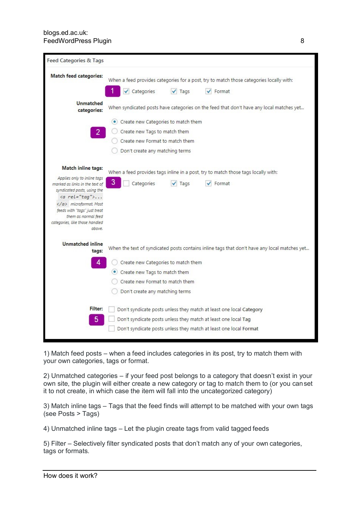| Feed Categories & Tags                                        |                                     |                 |                                                                                              |
|---------------------------------------------------------------|-------------------------------------|-----------------|----------------------------------------------------------------------------------------------|
| <b>Match feed categories:</b>                                 |                                     |                 | When a feed provides categories for a post, try to match those categories locally with:      |
|                                                               | Categories<br>$\checkmark$          | $\sqrt{ }$ Tags | $\checkmark$ Format                                                                          |
| <b>Unmatched</b><br>categories:                               |                                     |                 | When syndicated posts have categories on the feed that don't have any local matches yet      |
|                                                               | Create new Categories to match them |                 |                                                                                              |
|                                                               | Create new Tags to match them       |                 |                                                                                              |
|                                                               | Create new Format to match them     |                 |                                                                                              |
|                                                               | Don't create any matching terms     |                 |                                                                                              |
| Match inline tags:                                            |                                     |                 | When a feed provides tags inline in a post, try to match those tags locally with:            |
| Applies only to inline tags                                   | 3<br>Categories                     |                 | $\checkmark$ Format                                                                          |
| marked as links in the text of<br>syndicated posts, using the |                                     | $\sqrt{ }$ Tags |                                                                                              |
| $\langle a$ rel="tag">                                        |                                     |                 |                                                                                              |
| microformat. Most<br>feeds with "tags" just treat             |                                     |                 |                                                                                              |
| them as normal feed                                           |                                     |                 |                                                                                              |
| categories, like those handled<br>above.                      |                                     |                 |                                                                                              |
| <b>Unmatched inline</b>                                       |                                     |                 | When the text of syndicated posts contains inline tags that don't have any local matches yet |
| tags:                                                         |                                     |                 |                                                                                              |
| 4                                                             | Create new Categories to match them |                 |                                                                                              |
|                                                               | Create new Tags to match them       |                 |                                                                                              |
|                                                               | Create new Format to match them     |                 |                                                                                              |
|                                                               | Don't create any matching terms     |                 |                                                                                              |
| Filter:                                                       |                                     |                 | Don't syndicate posts unless they match at least one local Category                          |
| $\overline{5}$                                                |                                     |                 | Don't syndicate posts unless they match at least one local Tag                               |
|                                                               |                                     |                 | Don't syndicate posts unless they match at least one local Format                            |

1) Match feed posts – when a feed includes categories in its post, try to match them with your own categories, tags or format.

2) Unmatched categories – if your feed post belongs to a category that doesn't exist in your own site, the plugin will either create a new category or tag to match them to (or you canset it to not create, in which case the item will fall into the uncategorized category)

3) Match inline tags – Tags that the feed finds will attempt to be matched with your own tags (see Posts > Tags)

4) Unmatched inline tags – Let the plugin create tags from valid tagged feeds

5) Filter – Selectively filter syndicated posts that don't match any of your own categories, tags or formats.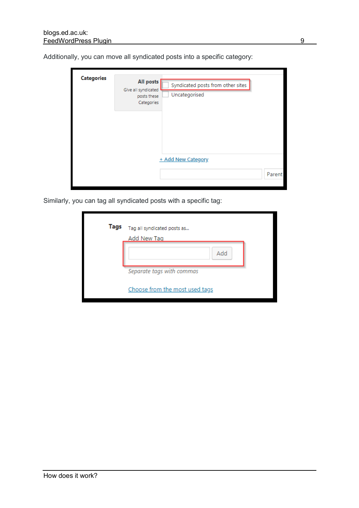| <b>Categories</b> | All posts<br>Give all syndicated<br>posts these<br>Categories | Syndicated posts from other sites<br>Uncategorised |        |
|-------------------|---------------------------------------------------------------|----------------------------------------------------|--------|
|                   |                                                               | + Add New Category                                 |        |
|                   |                                                               |                                                    | Parent |

Additionally, you can move all syndicated posts into a specific category:

Similarly, you can tag all syndicated posts with a specific tag:

| Tags | Tag all syndicated posts as<br>Add New Tag |
|------|--------------------------------------------|
|      | Add                                        |
|      | Separate tags with commas                  |
|      | Choose from the most used tags             |